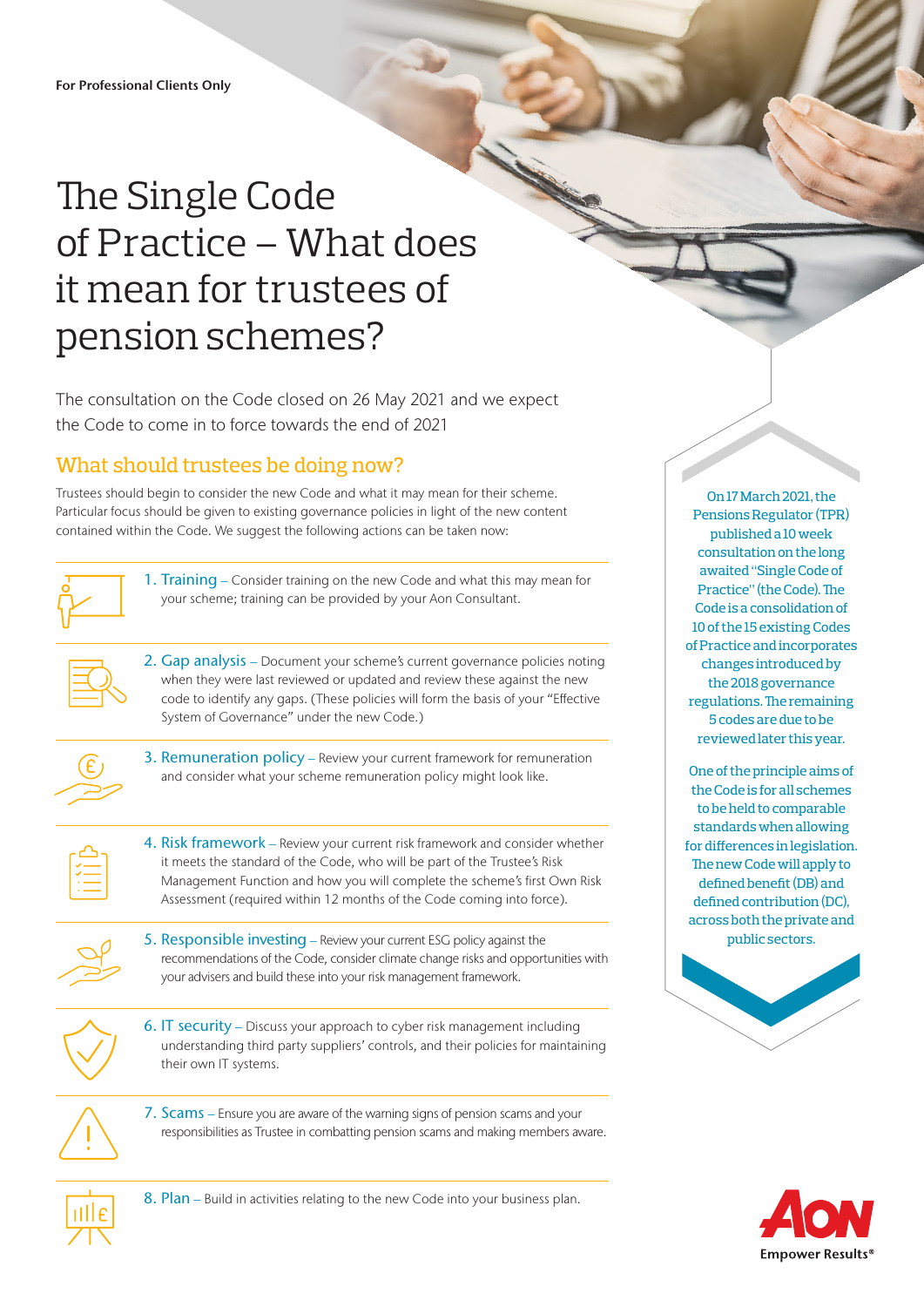# The Single Code of Practice – What does it mean for trustees of pension schemes?

The consultation on the Code closed on 26 May 2021 and we expect the Code to come in to force towards the end of 2021

# What should trustees be doing now?

Trustees should begin to consider the new Code and what it may mean for their scheme. Particular focus should be given to existing governance policies in light of the new content contained within the Code. We suggest the following actions can be taken now:



1. Training – Consider training on the new Code and what this may mean for your scheme; training can be provided by your Aon Consultant.

2. Gap analysis – Document your scheme's current governance policies noting when they were last reviewed or updated and review these against the new code to identify any gaps. (These policies will form the basis of your "Effective System of Governance" under the new Code.)



3. Remuneration policy – Review your current framework for remuneration and consider what your scheme remuneration policy might look like.



4. Risk framework – Review your current risk framework and consider whether it meets the standard of the Code, who will be part of the Trustee's Risk Management Function and how you will complete the scheme's first Own Risk Assessment (required within 12 months of the Code coming into force).



5. Responsible investing - Review your current ESG policy against the recommendations of the Code, consider climate change risks and opportunities with your advisers and build these into your risk management framework.



6. IT security – Discuss your approach to cyber risk management including understanding third party suppliers' controls, and their policies for maintaining their own IT systems.



7. Scams – Ensure you are aware of the warning signs of pension scams and your responsibilities as Trustee in combatting pension scams and making members aware.



8. Plan – Build in activities relating to the new Code into your business plan.

On 17 March 2021, the Pensions Regulator (TPR) published a 10 week consultation on the long awaited "Single Code of Practice" (the Code). The Code is a consolidation of 10 of the 15 existing Codes of Practice and incorporates changes introduced by the 2018 governance regulations. The remaining 5 codes are due to be reviewed later this year.

One of the principle aims of the Code is for all schemes to be held to comparable standards when allowing for differences in legislation. The new Code will apply to defined benefit (DB) and defined contribution (DC), across both the private and public sectors.



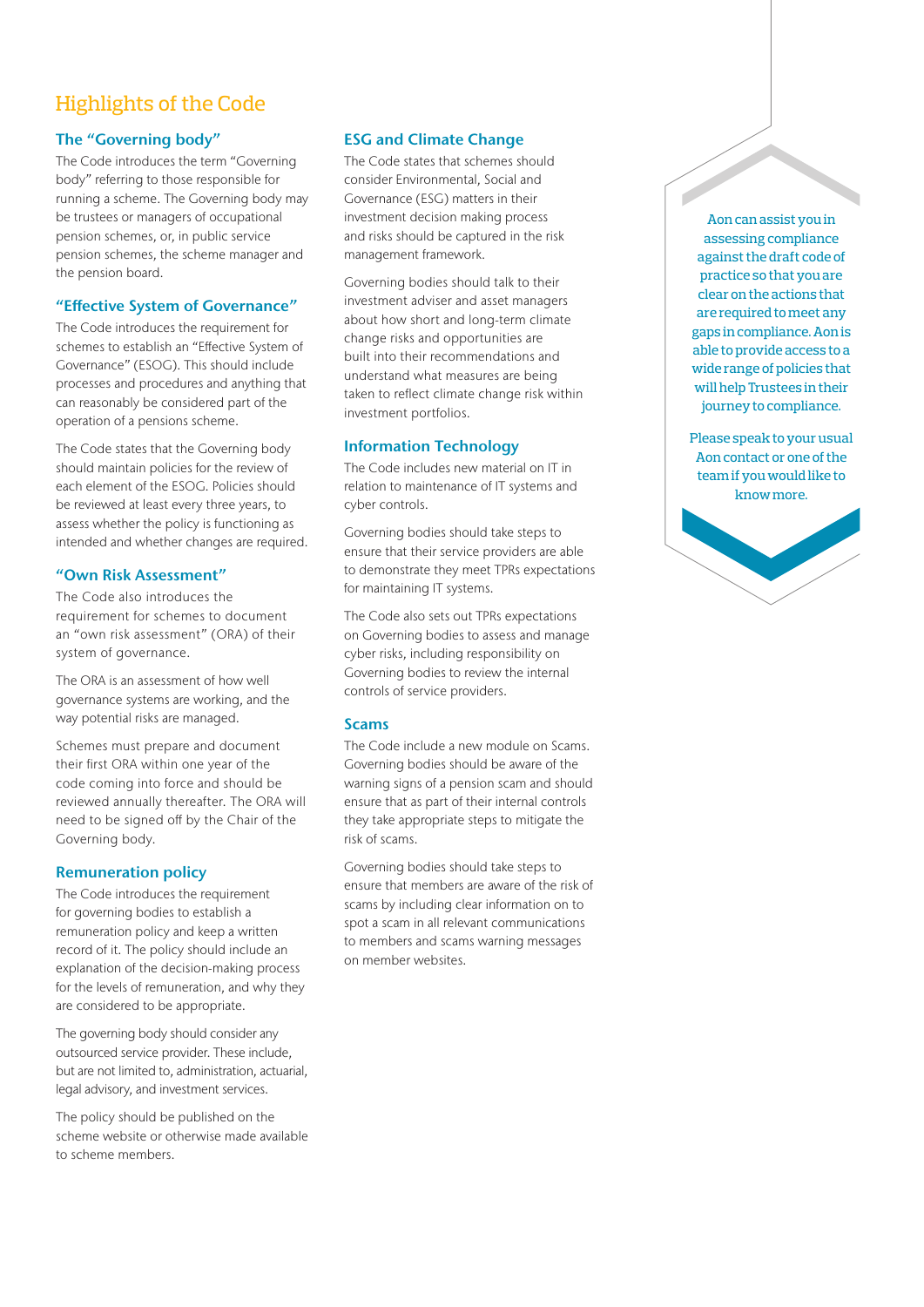## Highlights of the Code

## The "Governing body"

The Code introduces the term "Governing body" referring to those responsible for running a scheme. The Governing body may be trustees or managers of occupational pension schemes, or, in public service pension schemes, the scheme manager and the pension board.

#### "Effective System of Governance"

The Code introduces the requirement for schemes to establish an "Effective System of Governance" (ESOG). This should include processes and procedures and anything that can reasonably be considered part of the operation of a pensions scheme.

The Code states that the Governing body should maintain policies for the review of each element of the ESOG. Policies should be reviewed at least every three years, to assess whether the policy is functioning as intended and whether changes are required.

### "Own Risk Assessment"

The Code also introduces the requirement for schemes to document an "own risk assessment" (ORA) of their system of governance.

The ORA is an assessment of how well governance systems are working, and the way potential risks are managed.

Schemes must prepare and document their first ORA within one year of the code coming into force and should be reviewed annually thereafter. The ORA will need to be signed off by the Chair of the Governing body.

### Remuneration policy

The Code introduces the requirement for governing bodies to establish a remuneration policy and keep a written record of it. The policy should include an explanation of the decision-making process for the levels of remuneration, and why they are considered to be appropriate.

The governing body should consider any outsourced service provider. These include, but are not limited to, administration, actuarial, legal advisory, and investment services.

The policy should be published on the scheme website or otherwise made available to scheme members.

#### ESG and Climate Change

The Code states that schemes should consider Environmental, Social and Governance (ESG) matters in their investment decision making process and risks should be captured in the risk management framework.

Governing bodies should talk to their investment adviser and asset managers about how short and long-term climate change risks and opportunities are built into their recommendations and understand what measures are being taken to reflect climate change risk within investment portfolios.

#### Information Technology

The Code includes new material on IT in relation to maintenance of IT systems and cyber controls.

Governing bodies should take steps to ensure that their service providers are able to demonstrate they meet TPRs expectations for maintaining IT systems.

The Code also sets out TPRs expectations on Governing bodies to assess and manage cyber risks, including responsibility on Governing bodies to review the internal controls of service providers.

#### **Scams**

The Code include a new module on Scams. Governing bodies should be aware of the warning signs of a pension scam and should ensure that as part of their internal controls they take appropriate steps to mitigate the risk of scams.

Governing bodies should take steps to ensure that members are aware of the risk of scams by including clear information on to spot a scam in all relevant communications to members and scams warning messages on member websites.

Aon can assist you in assessing compliance against the draft code of practice so that you are clear on the actions that are required to meet any gaps in compliance. Aon is able to provide access to a wide range of policies that will help Trustees in their journey to compliance.

Please speak to your usual Aon contact or one of the team if you would like to know more.